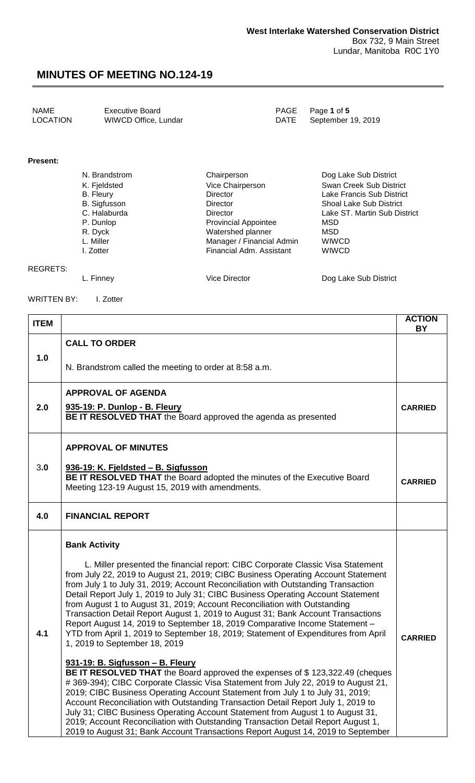| NAME            | <b>Executive Board</b> | PAGE Page 1 of 5        |
|-----------------|------------------------|-------------------------|
| <b>LOCATION</b> | WIWCD Office, Lundar   | DATE September 19, 2019 |

#### **Present:**

| N. Brandstrom       | Chairperson                 | Dog Lake Sub District          |
|---------------------|-----------------------------|--------------------------------|
| K. Fjeldsted        | Vice Chairperson            | Swan Creek Sub District        |
| <b>B.</b> Fleury    | <b>Director</b>             | Lake Francis Sub District      |
| <b>B.</b> Sigfusson | Director                    | <b>Shoal Lake Sub District</b> |
| C. Halaburda        | Director                    | Lake ST. Martin Sub District   |
| P. Dunlop           | <b>Provincial Appointee</b> | MSD                            |
| R. Dyck             | Watershed planner           | MSD                            |
| L. Miller           | Manager / Financial Admin   | <b>WIWCD</b>                   |
| I. Zotter           | Financial Adm. Assistant    | <b>WIWCD</b>                   |
|                     |                             |                                |

#### REGRETS:

L. Finney **Communist Communist Communist Communist Communist Communist Communist Communist Communist Communist Communist Communist Communist Communist Communist Communist Communist Communist Communist Communist Communist C** 

WRITTEN BY: I. Zotter

**ITEM ACTION BY 1.0 CALL TO ORDER** N. Brandstrom called the meeting to order at 8:58 a.m. **2.0 APPROVAL OF AGENDA 935-19: P. Dunlop - B. Fleury BE IT RESOLVED THAT** the Board approved the agenda as presented **CARRIED** 3**.0 APPROVAL OF MINUTES 936-19: K. Fjeldsted – B. Sigfusson BE IT RESOLVED THAT** the Board adopted the minutes of the Executive Board **DE IT RESULVED THAT** the Board adopted the minutes of the Executive Board **CARRIED**<br>Meeting 123-19 August 15, 2019 with amendments. **4.0 FINANCIAL REPORT 4.1 Bank Activity** L. Miller presented the financial report: CIBC Corporate Classic Visa Statement from July 22, 2019 to August 21, 2019; CIBC Business Operating Account Statement from July 1 to July 31, 2019; Account Reconciliation with Outstanding Transaction Detail Report July 1, 2019 to July 31; CIBC Business Operating Account Statement from August 1 to August 31, 2019; Account Reconciliation with Outstanding Transaction Detail Report August 1, 2019 to August 31; Bank Account Transactions Report August 14, 2019 to September 18, 2019 Comparative Income Statement – YTD from April 1, 2019 to September 18, 2019; Statement of Expenditures from April 1, 2019 to September 18, 2019 **931-19: B. Sigfusson – B. Fleury BE IT RESOLVED THAT** the Board approved the expenses of \$ 123,322.49 (cheques # 369-394); CIBC Corporate Classic Visa Statement from July 22, 2019 to August 21, 2019; CIBC Business Operating Account Statement from July 1 to July 31, 2019; Account Reconciliation with Outstanding Transaction Detail Report July 1, 2019 to July 31; CIBC Business Operating Account Statement from August 1 to August 31, 2019; Account Reconciliation with Outstanding Transaction Detail Report August 1, 2019 to August 31; Bank Account Transactions Report August 14, 2019 to September **CARRIED**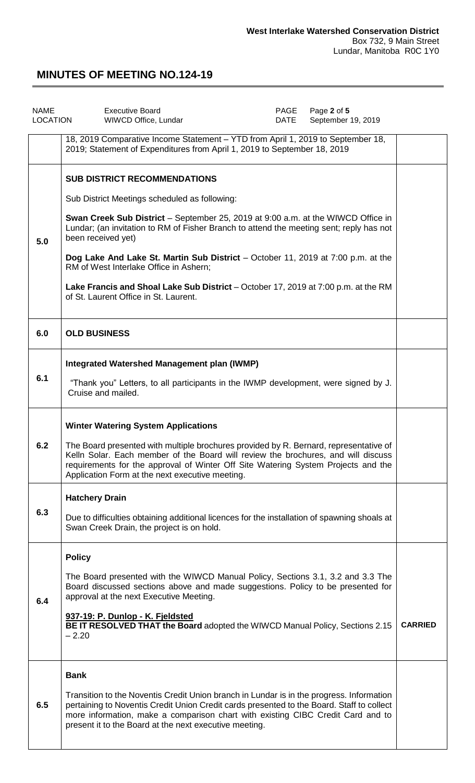| <b>NAME</b><br>LOCATION | Page 2 of 5<br><b>Executive Board</b><br>PAGE<br>WIWCD Office, Lundar<br>DATE<br>September 19, 2019                                                                                                                                                                                                                                                                                                                                                                                                                                                    |                |
|-------------------------|--------------------------------------------------------------------------------------------------------------------------------------------------------------------------------------------------------------------------------------------------------------------------------------------------------------------------------------------------------------------------------------------------------------------------------------------------------------------------------------------------------------------------------------------------------|----------------|
|                         | 18, 2019 Comparative Income Statement - YTD from April 1, 2019 to September 18,<br>2019; Statement of Expenditures from April 1, 2019 to September 18, 2019                                                                                                                                                                                                                                                                                                                                                                                            |                |
| 5.0                     | <b>SUB DISTRICT RECOMMENDATIONS</b><br>Sub District Meetings scheduled as following:<br>Swan Creek Sub District - September 25, 2019 at 9:00 a.m. at the WIWCD Office in<br>Lundar; (an invitation to RM of Fisher Branch to attend the meeting sent; reply has not<br>been received yet)<br>Dog Lake And Lake St. Martin Sub District - October 11, 2019 at 7:00 p.m. at the<br>RM of West Interlake Office in Ashern;<br>Lake Francis and Shoal Lake Sub District – October 17, 2019 at 7:00 p.m. at the RM<br>of St. Laurent Office in St. Laurent. |                |
| 6.0                     | <b>OLD BUSINESS</b>                                                                                                                                                                                                                                                                                                                                                                                                                                                                                                                                    |                |
| 6.1                     | <b>Integrated Watershed Management plan (IWMP)</b><br>"Thank you" Letters, to all participants in the IWMP development, were signed by J.<br>Cruise and mailed.                                                                                                                                                                                                                                                                                                                                                                                        |                |
| 6.2                     | <b>Winter Watering System Applications</b><br>The Board presented with multiple brochures provided by R. Bernard, representative of<br>Kelln Solar. Each member of the Board will review the brochures, and will discuss<br>requirements for the approval of Winter Off Site Watering System Projects and the<br>Application Form at the next executive meeting.                                                                                                                                                                                       |                |
| 6.3                     | <b>Hatchery Drain</b><br>Due to difficulties obtaining additional licences for the installation of spawning shoals at<br>Swan Creek Drain, the project is on hold.                                                                                                                                                                                                                                                                                                                                                                                     |                |
| 6.4                     | <b>Policy</b><br>The Board presented with the WIWCD Manual Policy, Sections 3.1, 3.2 and 3.3 The<br>Board discussed sections above and made suggestions. Policy to be presented for<br>approval at the next Executive Meeting.<br>937-19: P. Dunlop - K. Fjeldsted<br>BE IT RESOLVED THAT the Board adopted the WIWCD Manual Policy, Sections 2.15<br>$-2.20$                                                                                                                                                                                          | <b>CARRIED</b> |
| 6.5                     | <b>Bank</b><br>Transition to the Noventis Credit Union branch in Lundar is in the progress. Information<br>pertaining to Noventis Credit Union Credit cards presented to the Board. Staff to collect<br>more information, make a comparison chart with existing CIBC Credit Card and to<br>present it to the Board at the next executive meeting.                                                                                                                                                                                                      |                |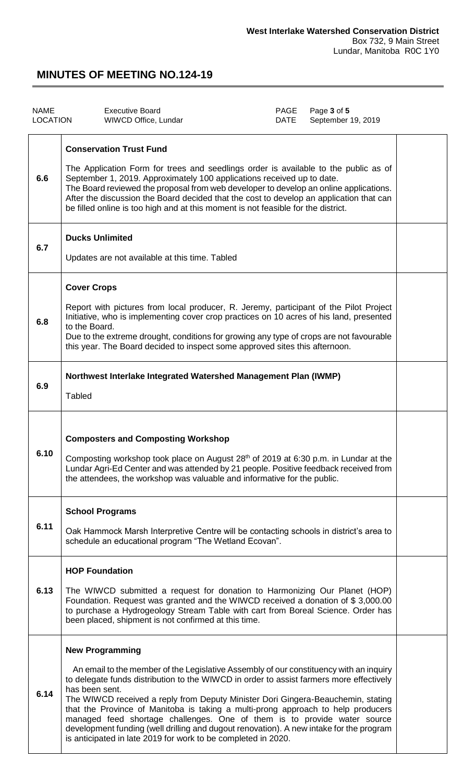| <b>NAME</b><br><b>LOCATION</b> | <b>Executive Board</b><br>WIWCD Office, Lundar                                                                                                                                                                                                                                                                                                                                                                                                                                                                                                                                                                                                | PAGE<br>DATE | Page 3 of 5<br>September 19, 2019 |  |
|--------------------------------|-----------------------------------------------------------------------------------------------------------------------------------------------------------------------------------------------------------------------------------------------------------------------------------------------------------------------------------------------------------------------------------------------------------------------------------------------------------------------------------------------------------------------------------------------------------------------------------------------------------------------------------------------|--------------|-----------------------------------|--|
| 6.6                            | <b>Conservation Trust Fund</b><br>The Application Form for trees and seedlings order is available to the public as of<br>September 1, 2019. Approximately 100 applications received up to date.<br>The Board reviewed the proposal from web developer to develop an online applications.<br>After the discussion the Board decided that the cost to develop an application that can<br>be filled online is too high and at this moment is not feasible for the district.                                                                                                                                                                      |              |                                   |  |
| 6.7                            | <b>Ducks Unlimited</b><br>Updates are not available at this time. Tabled                                                                                                                                                                                                                                                                                                                                                                                                                                                                                                                                                                      |              |                                   |  |
| 6.8                            | <b>Cover Crops</b><br>Report with pictures from local producer, R. Jeremy, participant of the Pilot Project<br>Initiative, who is implementing cover crop practices on 10 acres of his land, presented<br>to the Board.<br>Due to the extreme drought, conditions for growing any type of crops are not favourable<br>this year. The Board decided to inspect some approved sites this afternoon.                                                                                                                                                                                                                                             |              |                                   |  |
| 6.9                            | Northwest Interlake Integrated Watershed Management Plan (IWMP)<br><b>Tabled</b>                                                                                                                                                                                                                                                                                                                                                                                                                                                                                                                                                              |              |                                   |  |
| 6.10                           | <b>Composters and Composting Workshop</b><br>Composting workshop took place on August $28th$ of 2019 at 6:30 p.m. in Lundar at the<br>Lundar Agri-Ed Center and was attended by 21 people. Positive feedback received from<br>the attendees, the workshop was valuable and informative for the public.                                                                                                                                                                                                                                                                                                                                        |              |                                   |  |
| 6.11                           | <b>School Programs</b><br>Oak Hammock Marsh Interpretive Centre will be contacting schools in district's area to<br>schedule an educational program "The Wetland Ecovan".                                                                                                                                                                                                                                                                                                                                                                                                                                                                     |              |                                   |  |
| 6.13                           | <b>HOP Foundation</b><br>The WIWCD submitted a request for donation to Harmonizing Our Planet (HOP)<br>Foundation. Request was granted and the WIWCD received a donation of \$3,000.00<br>to purchase a Hydrogeology Stream Table with cart from Boreal Science. Order has<br>been placed, shipment is not confirmed at this time.                                                                                                                                                                                                                                                                                                            |              |                                   |  |
| 6.14                           | <b>New Programming</b><br>An email to the member of the Legislative Assembly of our constituency with an inquiry<br>to delegate funds distribution to the WIWCD in order to assist farmers more effectively<br>has been sent.<br>The WIWCD received a reply from Deputy Minister Dori Gingera-Beauchemin, stating<br>that the Province of Manitoba is taking a multi-prong approach to help producers<br>managed feed shortage challenges. One of them is to provide water source<br>development funding (well drilling and dugout renovation). A new intake for the program<br>is anticipated in late 2019 for work to be completed in 2020. |              |                                   |  |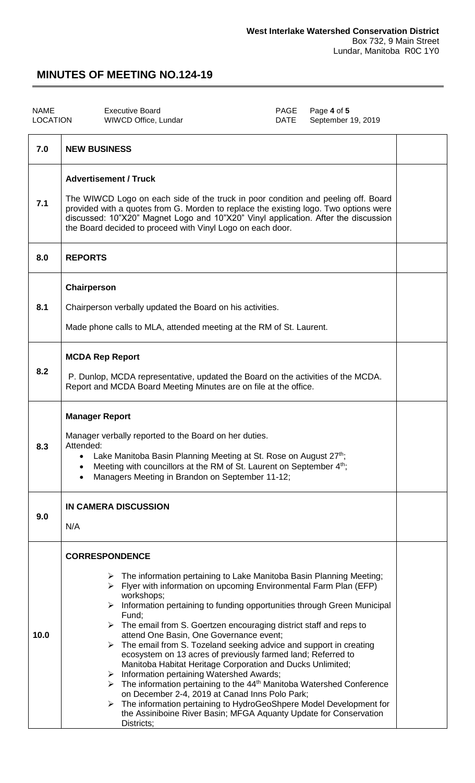| <b>NAME</b><br><b>LOCATION</b> | <b>Executive Board</b><br>PAGE<br>Page 4 of 5<br>September 19, 2019<br>WIWCD Office, Lundar<br><b>DATE</b>                                                                                                                                                                                                                                                                                                                                                                                                                                                                                                                                                                                                                                                                                                                                                                                                                                                                                                               |  |  |  |  |
|--------------------------------|--------------------------------------------------------------------------------------------------------------------------------------------------------------------------------------------------------------------------------------------------------------------------------------------------------------------------------------------------------------------------------------------------------------------------------------------------------------------------------------------------------------------------------------------------------------------------------------------------------------------------------------------------------------------------------------------------------------------------------------------------------------------------------------------------------------------------------------------------------------------------------------------------------------------------------------------------------------------------------------------------------------------------|--|--|--|--|
| 7.0                            | <b>NEW BUSINESS</b>                                                                                                                                                                                                                                                                                                                                                                                                                                                                                                                                                                                                                                                                                                                                                                                                                                                                                                                                                                                                      |  |  |  |  |
| 7.1                            | <b>Advertisement / Truck</b><br>The WIWCD Logo on each side of the truck in poor condition and peeling off. Board<br>provided with a quotes from G. Morden to replace the existing logo. Two options were<br>discussed: 10"X20" Magnet Logo and 10"X20" Vinyl application. After the discussion<br>the Board decided to proceed with Vinyl Logo on each door.                                                                                                                                                                                                                                                                                                                                                                                                                                                                                                                                                                                                                                                            |  |  |  |  |
| 8.0                            | <b>REPORTS</b>                                                                                                                                                                                                                                                                                                                                                                                                                                                                                                                                                                                                                                                                                                                                                                                                                                                                                                                                                                                                           |  |  |  |  |
| 8.1                            | Chairperson<br>Chairperson verbally updated the Board on his activities.<br>Made phone calls to MLA, attended meeting at the RM of St. Laurent.                                                                                                                                                                                                                                                                                                                                                                                                                                                                                                                                                                                                                                                                                                                                                                                                                                                                          |  |  |  |  |
| 8.2                            | <b>MCDA Rep Report</b><br>P. Dunlop, MCDA representative, updated the Board on the activities of the MCDA.<br>Report and MCDA Board Meeting Minutes are on file at the office.                                                                                                                                                                                                                                                                                                                                                                                                                                                                                                                                                                                                                                                                                                                                                                                                                                           |  |  |  |  |
| 8.3                            | <b>Manager Report</b><br>Manager verbally reported to the Board on her duties.<br>Attended:<br>Lake Manitoba Basin Planning Meeting at St. Rose on August 27th;<br>٠<br>Meeting with councillors at the RM of St. Laurent on September 4 <sup>th</sup> ;<br>Managers Meeting in Brandon on September 11-12;<br>$\bullet$                                                                                                                                                                                                                                                                                                                                                                                                                                                                                                                                                                                                                                                                                                 |  |  |  |  |
| 9.0                            | IN CAMERA DISCUSSION<br>N/A                                                                                                                                                                                                                                                                                                                                                                                                                                                                                                                                                                                                                                                                                                                                                                                                                                                                                                                                                                                              |  |  |  |  |
| 10.0                           | <b>CORRESPONDENCE</b><br>$\triangleright$ The information pertaining to Lake Manitoba Basin Planning Meeting;<br>$\triangleright$ Flyer with information on upcoming Environmental Farm Plan (EFP)<br>workshops;<br>$\triangleright$ Information pertaining to funding opportunities through Green Municipal<br>Fund;<br>The email from S. Goertzen encouraging district staff and reps to<br>➤<br>attend One Basin, One Governance event;<br>The email from S. Tozeland seeking advice and support in creating<br>➤<br>ecosystem on 13 acres of previously farmed land; Referred to<br>Manitoba Habitat Heritage Corporation and Ducks Unlimited;<br>Information pertaining Watershed Awards;<br>➤<br>$\triangleright$ The information pertaining to the 44 <sup>th</sup> Manitoba Watershed Conference<br>on December 2-4, 2019 at Canad Inns Polo Park;<br>The information pertaining to HydroGeoShpere Model Development for<br>➤<br>the Assiniboine River Basin; MFGA Aquanty Update for Conservation<br>Districts; |  |  |  |  |